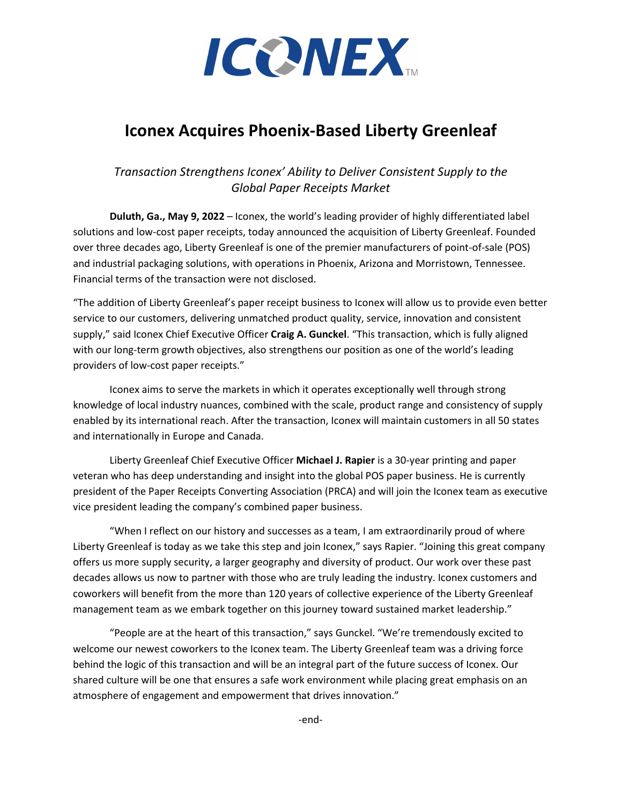

# **Iconex Acquires Phoenix-Based Liberty Greenleaf**

# *Transaction Strengthens Iconex' Ability to Deliver Consistent Supply to the Global Paper Receipts Market*

**Duluth, Ga., May 9, 2022** – Iconex, the world's leading provider of highly differentiated label solutions and low-cost paper receipts, today announced the acquisition of Liberty Greenleaf. Founded over three decades ago, Liberty Greenleaf is one of the premier manufacturers of point-of-sale (POS) and industrial packaging solutions, with operations in Phoenix, Arizona and Morristown, Tennessee. Financial terms of the transaction were not disclosed.

"The addition of Liberty Greenleaf's paper receipt business to Iconex will allow us to provide even better service to our customers, delivering unmatched product quality, service, innovation and consistent supply," said Iconex Chief Executive Officer **Craig A. Gunckel**. "This transaction, which is fully aligned with our long-term growth objectives, also strengthens our position as one of the world's leading providers of low-cost paper receipts."

Iconex aims to serve the markets in which it operates exceptionally well through strong knowledge of local industry nuances, combined with the scale, product range and consistency of supply enabled by its international reach. After the transaction, Iconex will maintain customers in all 50 states and internationally in Europe and Canada.

Liberty Greenleaf Chief Executive Officer **Michael J. Rapier** is a 30-year printing and paper veteran who has deep understanding and insight into the global POS paper business. He is currently president of the Paper Receipts Converting Association (PRCA) and will join the Iconex team as executive vice president leading the company's combined paper business.

"When I reflect on our history and successes as a team, I am extraordinarily proud of where Liberty Greenleaf is today as we take this step and join Iconex," says Rapier. "Joining this great company offers us more supply security, a larger geography and diversity of product. Our work over these past decades allows us now to partner with those who are truly leading the industry. Iconex customers and coworkers will benefit from the more than 120 years of collective experience of the Liberty Greenleaf management team as we embark together on this journey toward sustained market leadership."

"People are at the heart of this transaction," says Gunckel. "We're tremendously excited to welcome our newest coworkers to the Iconex team. The Liberty Greenleaf team was a driving force behind the logic of this transaction and will be an integral part of the future success of Iconex. Our shared culture will be one that ensures a safe work environment while placing great emphasis on an atmosphere of engagement and empowerment that drives innovation."